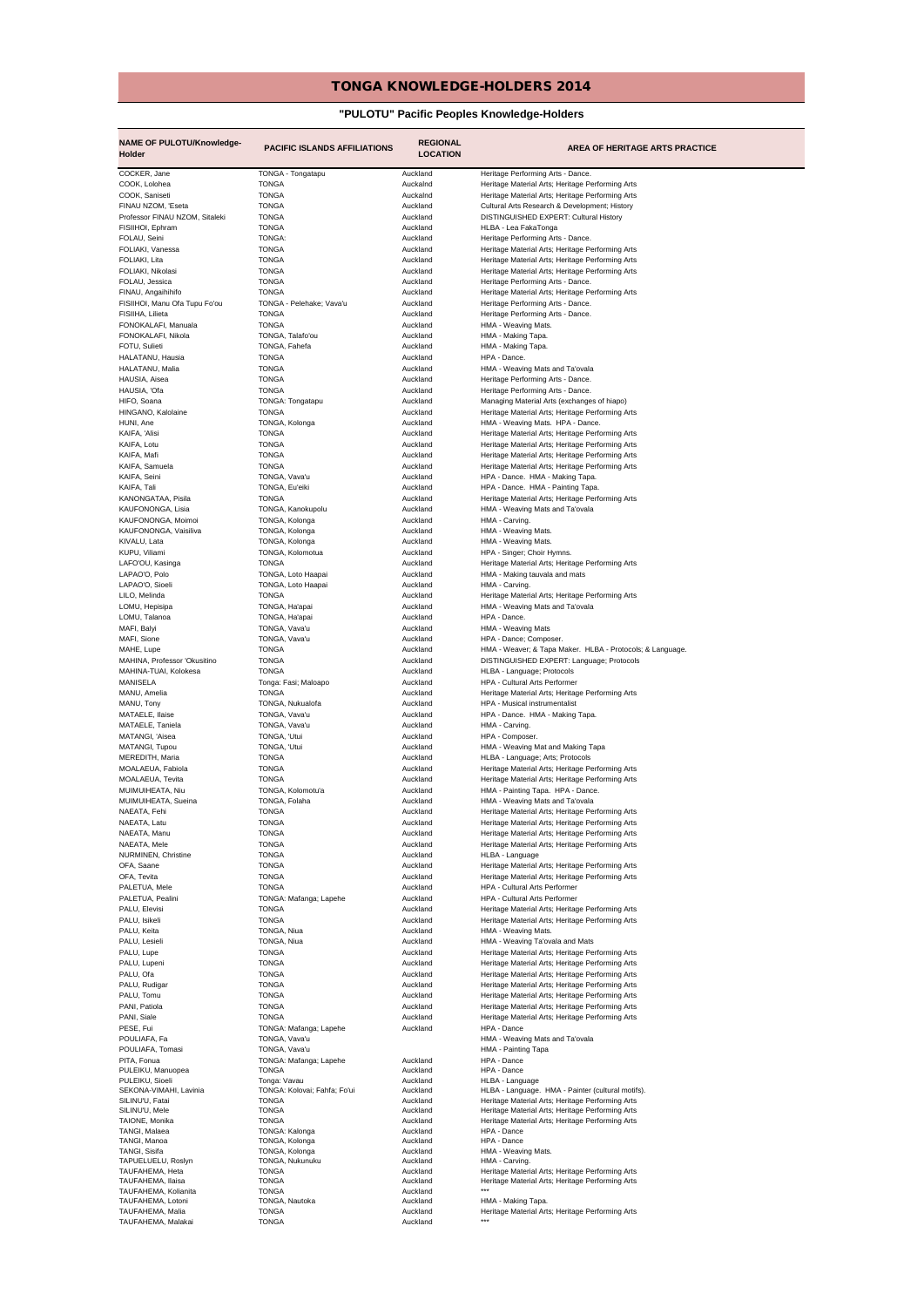## TONGA KNOWLEDGE-HOLDERS 2014

## **"PULOTU" Pacific Peoples Knowledge-Holders**

| <b>NAME OF PULOTU/Knowledge-</b><br>Holder | <b>PACIFIC ISLANDS AFFILIATIONS</b> | <b>REGIONAL</b><br><b>LOCATION</b> | <b>AREA OF HERITAGE ARTS PRACTICE</b>                                                                |
|--------------------------------------------|-------------------------------------|------------------------------------|------------------------------------------------------------------------------------------------------|
| COCKER, Jane                               | TONGA - Tongatapu                   | Auckland                           | Heritage Performing Arts - Dance.                                                                    |
| COOK, Lolohea                              | <b>TONGA</b>                        | Auckalnd                           | Heritage Material Arts; Heritage Performing Arts                                                     |
| COOK, Saniseti                             | <b>TONGA</b>                        | Auckalnd                           | Heritage Material Arts; Heritage Performing Arts                                                     |
| FINAU NZOM, 'Eseta                         | <b>TONGA</b>                        | Auckland                           | Cultural Arts Research & Development; History                                                        |
| Professor FINAU NZOM, Sitaleki             | <b>TONGA</b>                        | Auckland                           | DISTINGUISHED EXPERT: Cultural History                                                               |
| FISIIHOI, Ephram                           | <b>TONGA</b>                        | Auckland                           | HLBA - Lea FakaTonga                                                                                 |
| FOLAU, Seini                               | TONGA:                              | Auckland                           | Heritage Performing Arts - Dance.                                                                    |
| FOLIAKI, Vanessa                           | TONGA                               | Auckland                           | Heritage Material Arts; Heritage Performing Arts                                                     |
| FOLIAKI, Lita                              | <b>TONGA</b>                        | Auckland<br>Auckland               | Heritage Material Arts; Heritage Performing Arts                                                     |
| FOLIAKI, Nikolasi                          | TONGA                               | Auckland                           | Heritage Material Arts; Heritage Performing Arts                                                     |
| FOLAU, Jessica<br>FINAU, Angaihihifo       | TONGA<br><b>TONGA</b>               | Auckland                           | Heritage Performing Arts - Dance.<br>Heritage Material Arts; Heritage Performing Arts                |
| FISIIHOI, Manu Ofa Tupu Fo'ou              | TONGA - Pelehake; Vava'u            | Auckland                           | Heritage Performing Arts - Dance.                                                                    |
| FISIIHA, Lilieta                           | <b>TONGA</b>                        | Auckland                           | Heritage Performing Arts - Dance.                                                                    |
| FONOKALAFI, Manuala                        | <b>TONGA</b>                        | Auckland                           | HMA - Weaving Mats.                                                                                  |
| FONOKALAFI, Nikola                         | TONGA, Talafo'ou                    | Auckland                           | HMA - Making Tapa.                                                                                   |
| FOTU, Sulieti                              | TONGA, Fahefa                       | Auckland                           | HMA - Making Tapa.                                                                                   |
| HALATANU, Hausia                           | <b>TONGA</b>                        | Auckland                           | HPA - Dance.                                                                                         |
| HALATANU, Malia                            | <b>TONGA</b>                        | Auckland                           | HMA - Weaving Mats and Ta'ovala                                                                      |
| HAUSIA, Aisea                              | <b>TONGA</b>                        | Auckland                           | Heritage Performing Arts - Dance.                                                                    |
| HAUSIA, 'Ofa                               | <b>TONGA</b>                        | Auckland                           | Heritage Performing Arts - Dance.                                                                    |
| HIFO, Soana                                | TONGA: Tongatapu                    | Auckland                           | Managing Material Arts (exchanges of hiapo)                                                          |
| HINGANO, Kalolaine                         | <b>TONGA</b>                        | Auckland                           | Heritage Material Arts; Heritage Performing Arts                                                     |
| HUNI, Ane                                  | TONGA, Kolonga<br><b>TONGA</b>      | Auckland<br>Auckland               | HMA - Weaving Mats. HPA - Dance.                                                                     |
| KAIFA, 'Alisi<br>KAIFA, Lotu               | <b>TONGA</b>                        | Auckland                           | Heritage Material Arts; Heritage Performing Arts<br>Heritage Material Arts; Heritage Performing Arts |
| KAIFA, Mafi                                | <b>TONGA</b>                        | Auckland                           | Heritage Material Arts; Heritage Performing Arts                                                     |
| KAIFA, Samuela                             | <b>TONGA</b>                        | Auckland                           | Heritage Material Arts; Heritage Performing Arts                                                     |
| KAIFA, Seini                               | TONGA, Vava'u                       | Auckland                           | HPA - Dance. HMA - Making Tapa.                                                                      |
| KAIFA, Tali                                | TONGA, Eu'eiki                      | Auckland                           | HPA - Dance. HMA - Painting Tapa.                                                                    |
| KANONGATAA, Pisila                         | <b>TONGA</b>                        | Auckland                           | Heritage Material Arts; Heritage Performing Arts                                                     |
| KAUFONONGA, Lisia                          | TONGA, Kanokupolu                   | Auckland                           | HMA - Weaving Mats and Ta'ovala                                                                      |
| KAUFONONGA, Moimoi                         | TONGA, Kolonga                      | Auckland                           | HMA - Carving                                                                                        |
| KAUFONONGA, Vaisiliva                      | TONGA, Kolonga                      | Auckland                           | HMA - Weaving Mats.                                                                                  |
| KIVALU, Lata                               | TONGA, Kolonga                      | Auckland                           | HMA - Weaving Mats.                                                                                  |
| KUPU, Viliami                              | TONGA, Kolomotua                    | Auckland                           | HPA - Singer; Choir Hymns.                                                                           |
| LAFO'OU, Kasinga                           | <b>TONGA</b>                        | Auckland                           | Heritage Material Arts; Heritage Performing Arts                                                     |
| LAPAO'O, Polo                              | TONGA, Loto Haapai                  | Auckland                           | HMA - Making tauvala and mats                                                                        |
| LAPAO'O, Sioeli                            | TONGA, Loto Haapai                  | Auckland                           | HMA - Carving.                                                                                       |
| LILO, Melinda                              | <b>TONGA</b>                        | Auckland                           | Heritage Material Arts; Heritage Performing Arts                                                     |
| LOMU, Hepisipa                             | TONGA, Ha'apai                      | Auckland<br>Auckland               | HMA - Weaving Mats and Ta'ovala                                                                      |
| LOMU, Talanoa<br>MAFI, Balyi               | TONGA, Ha'apai<br>TONGA, Vava'u     | Auckland                           | HPA - Dance.<br>HMA - Weaving Mats                                                                   |
| MAFI, Sione                                | TONGA, Vava'u                       | Auckland                           | HPA - Dance; Composer.                                                                               |
| MAHE, Lupe                                 | TONGA                               | Auckland                           | HMA - Weaver; & Tapa Maker. HLBA - Protocols; & Language.                                            |
| MAHINA, Professor 'Okusitino               | <b>TONGA</b>                        | Auckland                           | DISTINGUISHED EXPERT: Language; Protocols                                                            |
| MAHINA-TUAI, Kolokesa                      | <b>TONGA</b>                        | Auckland                           | HLBA - Language; Protocols                                                                           |
| MANISELA                                   | Tonga: Fasi; Maloapo                | Auckland                           | HPA - Cultural Arts Performer                                                                        |
| MANU, Amelia                               | <b>TONGA</b>                        | Auckland                           | Heritage Material Arts; Heritage Performing Arts                                                     |
| MANU, Tony                                 | TONGA, Nukualofa                    | Auckland                           | HPA - Musical instrumentalist                                                                        |
| MATAELE, Ilaise                            | TONGA, Vava'u                       | Auckland                           | HPA - Dance. HMA - Making Tapa.                                                                      |
| MATAELE, Taniela                           | TONGA, Vava'u                       | Auckland                           | HMA - Carving.                                                                                       |
| MATANGI, 'Aisea                            | TONGA, 'Utui                        | Auckland                           | HPA - Composer.                                                                                      |
| MATANGI, Tupou                             | TONGA, 'Utui                        | Auckland                           | HMA - Weaving Mat and Making Tapa                                                                    |
| MEREDITH, Maria<br>MOALAEUA, Fabiola       | <b>TONGA</b>                        | Auckland<br>Auckland               | HLBA - Language; Arts; Protocols                                                                     |
| MOALAEUA, Tevita                           | <b>TONGA</b><br><b>TONGA</b>        | Auckland                           | Heritage Material Arts; Heritage Performing Arts<br>Heritage Material Arts; Heritage Performing Arts |
| MUIMUIHEATA, Niu                           | TONGA, Kolomotu'a                   | Auckland                           | HMA - Painting Tapa. HPA - Dance.                                                                    |
| MUIMUIHEATA, Sueina                        | TONGA, Folaha                       | Auckland                           | HMA - Weaving Mats and Ta'ovala                                                                      |
| NAEATA, Fehi                               | <b>TONGA</b>                        | Auckland                           | Heritage Material Arts; Heritage Performing Arts                                                     |
| NAEATA, Latu                               | <b>TONGA</b>                        | Auckland                           | Heritage Material Arts; Heritage Performing Arts                                                     |
| NAEATA, Manu                               | TONGA                               | Auckland                           | Heritage Material Arts; Heritage Performing Arts                                                     |
| NAEATA, Mele                               | <b>TONGA</b>                        | Auckland                           | Heritage Material Arts; Heritage Performing Arts                                                     |
| NURMINEN, Christine                        | <b>TONGA</b>                        | Auckland                           | HLBA - Language                                                                                      |
| OFA, Saane                                 | <b>TONGA</b>                        | Auckland                           | Heritage Material Arts; Heritage Performing Arts                                                     |
| OFA, Tevita                                | <b>TONGA</b>                        | Auckland                           | Heritage Material Arts; Heritage Performing Arts                                                     |
| PALETUA, Mele                              | TONGA                               | Auckland                           | HPA - Cultural Arts Performer                                                                        |
| PALETUA, Pealini                           | TONGA: Mafanga; Lapehe              | Auckland                           | HPA - Cultural Arts Performer                                                                        |
| PALU, Elevisi                              | <b>TONGA</b>                        | Auckland                           | Heritage Material Arts; Heritage Performing Arts                                                     |
| PALU, Isikeli                              | <b>TONGA</b>                        | Auckland<br>Auckland               | Heritage Material Arts; Heritage Performing Arts<br>HMA - Weaving Mats.                              |
| PALU, Keita<br>PALU, Lesieli               | TONGA, Niua<br>TONGA, Niua          | Auckland                           | HMA - Weaving Ta'ovala and Mats                                                                      |
| PALU, Lupe                                 | <b>TONGA</b>                        | Auckland                           | Heritage Material Arts; Heritage Performing Arts                                                     |
| PALU, Lupeni                               | <b>TONGA</b>                        | Auckland                           | Heritage Material Arts; Heritage Performing Arts                                                     |
| PALU, Ofa                                  | <b>TONGA</b>                        | Auckland                           | Heritage Material Arts; Heritage Performing Arts                                                     |
| PALU, Rudigar                              | <b>TONGA</b>                        | Auckland                           | Heritage Material Arts; Heritage Performing Arts                                                     |
| PALU, Tomu                                 | <b>TONGA</b>                        | Auckland                           | Heritage Material Arts; Heritage Performing Arts                                                     |
| PANI, Patiola                              | <b>TONGA</b>                        | Auckland                           | Heritage Material Arts; Heritage Performing Arts                                                     |
| PANI, Siale                                | <b>TONGA</b>                        | Auckland                           | Heritage Material Arts; Heritage Performing Arts                                                     |
| PESE, Fui                                  | TONGA: Mafanga; Lapehe              | Auckland                           | HPA - Dance                                                                                          |
| POULIAFA, Fa                               | TONGA, Vava'u                       |                                    | HMA - Weaving Mats and Ta'ovala                                                                      |
| POULIAFA, Tomasi                           | TONGA, Vava'u                       |                                    | HMA - Painting Tapa                                                                                  |
| PITA, Fonua                                | TONGA: Mafanga; Lapehe              | Auckland<br>Auckland               | HPA - Dance<br>HPA - Dance                                                                           |
| PULEIKU, Manuopea<br>PULEIKU, Sioeli       | <b>TONGA</b><br>Tonga: Vavau        | Auckland                           | HLBA - Language                                                                                      |
| SEKONA-VIMAHI, Lavinia                     | TONGA: Kolovai; Fahfa; Fo'ui        | Auckland                           | HLBA - Language. HMA - Painter (cultural motifs).                                                    |
| SILINU'U, Fatai                            | <b>TONGA</b>                        | Auckland                           | Heritage Material Arts; Heritage Performing Arts                                                     |
| SILINU'U, Mele                             | <b>TONGA</b>                        | Auckland                           | Heritage Material Arts; Heritage Performing Arts                                                     |
| TAIONE, Monika                             | <b>TONGA</b>                        | Auckland                           | Heritage Material Arts; Heritage Performing Arts                                                     |
| TANGI, Malaea                              | TONGA: Kalonga                      | Auckland                           | HPA - Dance                                                                                          |
| TANGI, Manoa                               | TONGA, Kolonga                      | Auckland                           | HPA - Dance                                                                                          |
| TANGI, Sisifa<br>TAPUELUELU, Roslyn        | TONGA, Kolonga<br>TONGA, Nukunuku   | Auckland<br>Auckland               | HMA - Weaving Mats.<br>HMA - Carving.                                                                |
| TAUFAHEMA, Heta                            | <b>TONGA</b>                        | Auckland                           | Heritage Material Arts; Heritage Performing Arts                                                     |
| TAUFAHEMA, Ilaisa                          | <b>TONGA</b>                        | Auckland                           | Heritage Material Arts; Heritage Performing Arts                                                     |
| TAUFAHEMA, Kolianita                       | <b>TONGA</b>                        | Auckland                           |                                                                                                      |
| TAUFAHEMA, Lotoni                          | TONGA, Nautoka                      | Auckland                           | HMA - Making Tapa.                                                                                   |
| TAUFAHEMA, Malia                           | <b>TONGA</b>                        | Auckland                           | Heritage Material Arts; Heritage Performing Arts<br>$***$                                            |
| TAUFAHEMA, Malakai                         | <b>TONGA</b>                        | Auckland                           |                                                                                                      |